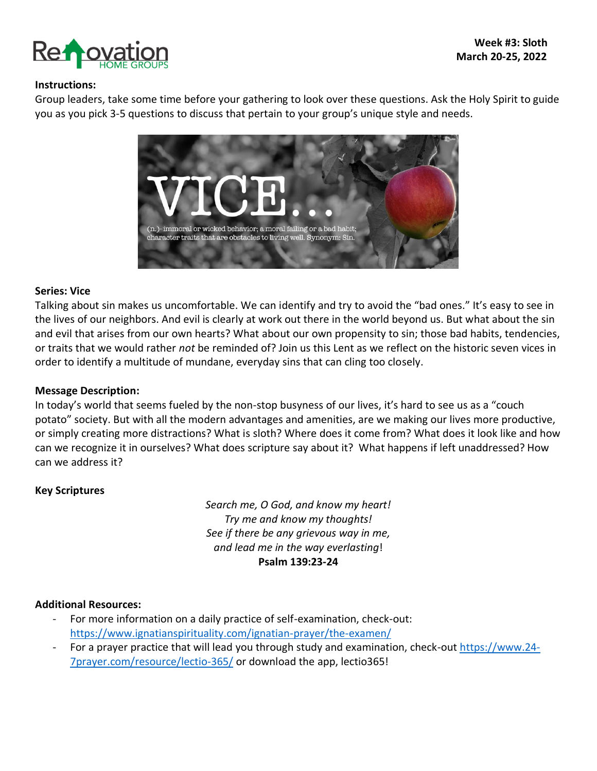

### **Instructions:**

Group leaders, take some time before your gathering to look over these questions. Ask the Holy Spirit to guide you as you pick 3-5 questions to discuss that pertain to your group's unique style and needs.



### **Series: Vice**

Talking about sin makes us uncomfortable. We can identify and try to avoid the "bad ones." It's easy to see in the lives of our neighbors. And evil is clearly at work out there in the world beyond us. But what about the sin and evil that arises from our own hearts? What about our own propensity to sin; those bad habits, tendencies, or traits that we would rather *not* be reminded of? Join us this Lent as we reflect on the historic seven vices in order to identify a multitude of mundane, everyday sins that can cling too closely.

#### **Message Description:**

In today's world that seems fueled by the non-stop busyness of our lives, it's hard to see us as a "couch potato" society. But with all the modern advantages and amenities, are we making our lives more productive, or simply creating more distractions? What is sloth? Where does it come from? What does it look like and how can we recognize it in ourselves? What does scripture say about it? What happens if left unaddressed? How can we address it?

### **Key Scriptures**

*Search me, O God, and know my heart! Try me and know my thoughts! See if there be any grievous way in me, and lead me in the way everlasting*! **Psalm 139:23-24**

#### **Additional Resources:**

- For more information on a daily practice of self-examination, check-out: <https://www.ignatianspirituality.com/ignatian-prayer/the-examen/>
- For a prayer practice that will lead you through study and examination, check-out [https://www.24-](https://www.24-7prayer.com/resource/lectio-365/) [7prayer.com/resource/lectio-365/](https://www.24-7prayer.com/resource/lectio-365/) or download the app, lectio365!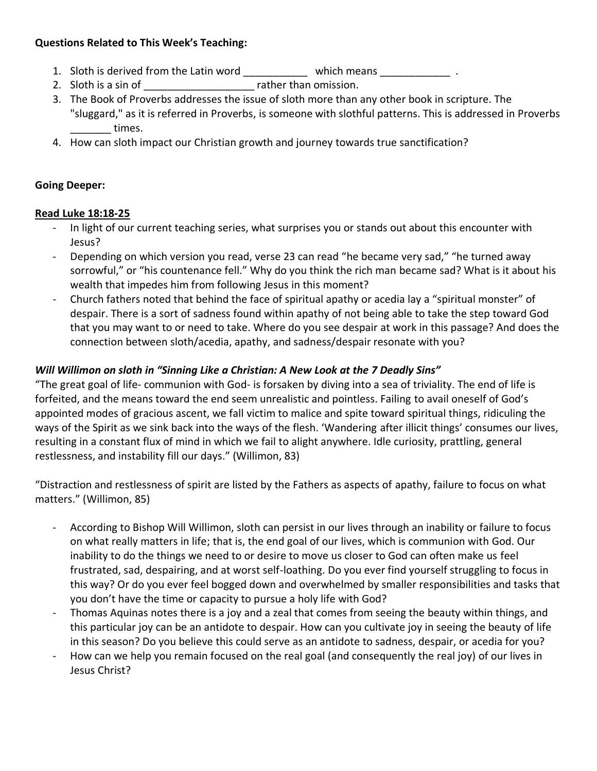## **Questions Related to This Week's Teaching:**

- 1. Sloth is derived from the Latin word **which means** which means
- 2. Sloth is a sin of \_\_\_\_\_\_\_\_\_\_\_\_\_\_\_\_\_\_\_ rather than omission.
- 3. The Book of Proverbs addresses the issue of sloth more than any other book in scripture. The "sluggard," as it is referred in Proverbs, is someone with slothful patterns. This is addressed in Proverbs dentimes.
- 4. How can sloth impact our Christian growth and journey towards true sanctification?

# **Going Deeper:**

# **Read Luke 18:18-25**

- In light of our current teaching series, what surprises you or stands out about this encounter with Jesus?
- Depending on which version you read, verse 23 can read "he became very sad," "he turned away sorrowful," or "his countenance fell." Why do you think the rich man became sad? What is it about his wealth that impedes him from following Jesus in this moment?
- Church fathers noted that behind the face of spiritual apathy or acedia lay a "spiritual monster" of despair. There is a sort of sadness found within apathy of not being able to take the step toward God that you may want to or need to take. Where do you see despair at work in this passage? And does the connection between sloth/acedia, apathy, and sadness/despair resonate with you?

# *Will Willimon on sloth in "Sinning Like a Christian: A New Look at the 7 Deadly Sins"*

"The great goal of life- communion with God- is forsaken by diving into a sea of triviality. The end of life is forfeited, and the means toward the end seem unrealistic and pointless. Failing to avail oneself of God's appointed modes of gracious ascent, we fall victim to malice and spite toward spiritual things, ridiculing the ways of the Spirit as we sink back into the ways of the flesh. 'Wandering after illicit things' consumes our lives, resulting in a constant flux of mind in which we fail to alight anywhere. Idle curiosity, prattling, general restlessness, and instability fill our days." (Willimon, 83)

"Distraction and restlessness of spirit are listed by the Fathers as aspects of apathy, failure to focus on what matters." (Willimon, 85)

- According to Bishop Will Willimon, sloth can persist in our lives through an inability or failure to focus on what really matters in life; that is, the end goal of our lives, which is communion with God. Our inability to do the things we need to or desire to move us closer to God can often make us feel frustrated, sad, despairing, and at worst self-loathing. Do you ever find yourself struggling to focus in this way? Or do you ever feel bogged down and overwhelmed by smaller responsibilities and tasks that you don't have the time or capacity to pursue a holy life with God?
- Thomas Aquinas notes there is a joy and a zeal that comes from seeing the beauty within things, and this particular joy can be an antidote to despair. How can you cultivate joy in seeing the beauty of life in this season? Do you believe this could serve as an antidote to sadness, despair, or acedia for you?
- How can we help you remain focused on the real goal (and consequently the real joy) of our lives in Jesus Christ?